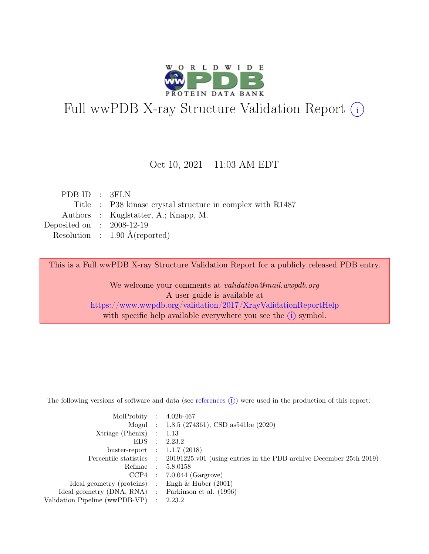

# Full wwPDB X-ray Structure Validation Report  $(i)$

#### Oct 10, 2021 – 11:03 AM EDT

| PDB ID : 3FLN                                              |
|------------------------------------------------------------|
| Title : P38 kinase crystal structure in complex with R1487 |
| Authors : Kuglstatter, A.; Knapp, M.                       |
| Deposited on : $2008-12-19$                                |
| Resolution : $1.90 \text{ Å}$ (reported)                   |
|                                                            |

This is a Full wwPDB X-ray Structure Validation Report for a publicly released PDB entry.

We welcome your comments at validation@mail.wwpdb.org A user guide is available at <https://www.wwpdb.org/validation/2017/XrayValidationReportHelp> with specific help available everywhere you see the  $(i)$  symbol.

The following versions of software and data (see [references](https://www.wwpdb.org/validation/2017/XrayValidationReportHelp#references)  $(i)$ ) were used in the production of this report:

| MolProbity : $4.02b-467$                            |                                                                                            |
|-----------------------------------------------------|--------------------------------------------------------------------------------------------|
|                                                     | Mogul : 1.8.5 (274361), CSD as 541 be (2020)                                               |
| $Xtriangle (Phenix)$ : 1.13                         |                                                                                            |
|                                                     | EDS : 2.23.2                                                                               |
| buster-report : $1.1.7$ (2018)                      |                                                                                            |
|                                                     | Percentile statistics : 20191225.v01 (using entries in the PDB archive December 25th 2019) |
|                                                     | Refmac : 5.8.0158                                                                          |
|                                                     | $CCP4$ : 7.0.044 (Gargrove)                                                                |
| Ideal geometry (proteins) : Engh $\&$ Huber (2001)  |                                                                                            |
| Ideal geometry (DNA, RNA) : Parkinson et al. (1996) |                                                                                            |
| Validation Pipeline (wwPDB-VP) : 2.23.2             |                                                                                            |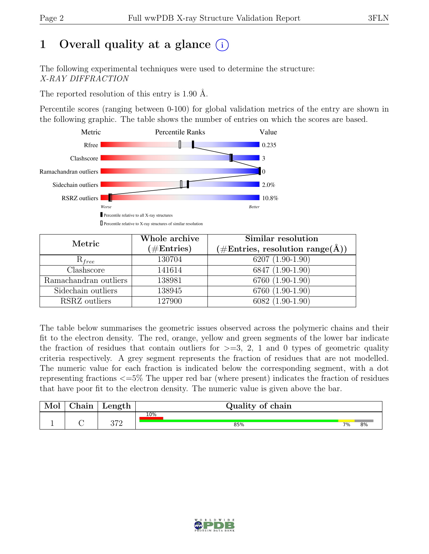# 1 Overall quality at a glance  $(i)$

The following experimental techniques were used to determine the structure: X-RAY DIFFRACTION

The reported resolution of this entry is 1.90 Å.

Percentile scores (ranging between 0-100) for global validation metrics of the entry are shown in the following graphic. The table shows the number of entries on which the scores are based.



| Metric                | Whole archive<br>$(\#\text{Entries})$ | Similar resolution<br>$(\# \text{Entries}, \text{ resolution } \text{range}(\AA))$ |
|-----------------------|---------------------------------------|------------------------------------------------------------------------------------|
| $R_{free}$            | 130704                                | $6207(1.90-1.90)$                                                                  |
| Clashscore            | 141614                                | 6847 (1.90-1.90)                                                                   |
| Ramachandran outliers | 138981                                | 6760 (1.90-1.90)                                                                   |
| Sidechain outliers    | 138945                                | 6760 (1.90-1.90)                                                                   |
| RSRZ outliers         | 127900                                | $6082(1.90-1.90)$                                                                  |

The table below summarises the geometric issues observed across the polymeric chains and their fit to the electron density. The red, orange, yellow and green segments of the lower bar indicate the fraction of residues that contain outliers for  $\geq$ =3, 2, 1 and 0 types of geometric quality criteria respectively. A grey segment represents the fraction of residues that are not modelled. The numeric value for each fraction is indicated below the corresponding segment, with a dot representing fractions <=5% The upper red bar (where present) indicates the fraction of residues that have poor fit to the electron density. The numeric value is given above the bar.

| Mol | $\alpha$ hain | Length | Quality of chain |    |    |
|-----|---------------|--------|------------------|----|----|
|     |               | הדה    | 10%              |    |    |
|     |               | 9 I Z  | 85%              | 7% | 8% |

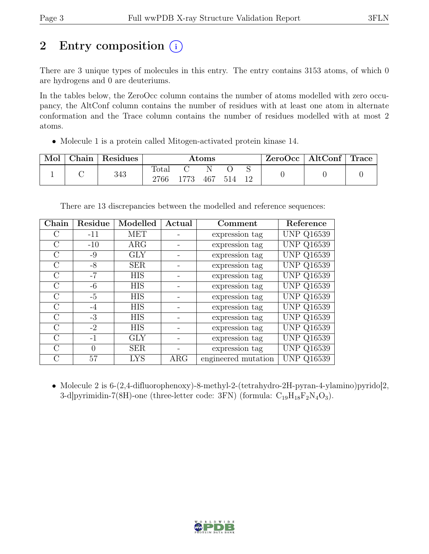# 2 Entry composition  $(i)$

There are 3 unique types of molecules in this entry. The entry contains 3153 atoms, of which 0 are hydrogens and 0 are deuteriums.

In the tables below, the ZeroOcc column contains the number of atoms modelled with zero occupancy, the AltConf column contains the number of residues with at least one atom in alternate conformation and the Trace column contains the number of residues modelled with at most 2 atoms.

• Molecule 1 is a protein called Mitogen-activated protein kinase 14.

| Mol | ⊤ Chain <sup>+</sup> | <sup>'</sup> Residues | $\rm{Atoms}$  |      |           | $\text{ZeroOcc}$   AltConf   Trace |       |  |  |
|-----|----------------------|-----------------------|---------------|------|-----------|------------------------------------|-------|--|--|
|     |                      | 343                   | Total<br>2766 | 1773 | N.<br>467 | - 514                              | $-12$ |  |  |

There are 13 discrepancies between the modelled and reference sequences:

| Chain         | Residue | Modelled   | Actual     | Comment             | Reference         |
|---------------|---------|------------|------------|---------------------|-------------------|
| С             | $-11$   | <b>MET</b> |            | expression tag      | <b>UNP Q16539</b> |
| $\rm C$       | $-10$   | $\rm{ARG}$ |            | expression tag      | <b>UNP Q16539</b> |
| $\rm C$       | $-9$    | <b>GLY</b> |            | expression tag      | <b>UNP Q16539</b> |
| $\rm C$       | $-8$    | <b>SER</b> |            | expression tag      | <b>UNP Q16539</b> |
| $\rm C$       | $-7$    | <b>HIS</b> |            | expression tag      | <b>UNP Q16539</b> |
| $\rm C$       | $-6$    | <b>HIS</b> |            | expression tag      | <b>UNP Q16539</b> |
| $\rm C$       | $-5$    | <b>HIS</b> |            | expression tag      | <b>UNP Q16539</b> |
| $\rm C$       | $-4$    | <b>HIS</b> |            | expression tag      | <b>UNP Q16539</b> |
| $\mathcal{C}$ | $-3$    | <b>HIS</b> |            | expression tag      | <b>UNP Q16539</b> |
| $\rm C$       | $-2$    | <b>HIS</b> |            | expression tag      | <b>UNP Q16539</b> |
| $\rm C$       | $-1$    | <b>GLY</b> |            | expression tag      | <b>UNP Q16539</b> |
| $\mathcal{C}$ | 0       | <b>SER</b> |            | expression tag      | <b>UNP Q16539</b> |
| $\rm C$       | 57      | <b>LYS</b> | $\rm{ARG}$ | engineered mutation | <b>UNP Q16539</b> |

• Molecule 2 is 6-(2,4-difluorophenoxy)-8-methyl-2-(tetrahydro-2H-pyran-4-ylamino)pyrido[2, 3-d]pyrimidin-7(8H)-one (three-letter code: 3FN) (formula:  $C_{19}H_{18}F_2N_4O_3$ ).

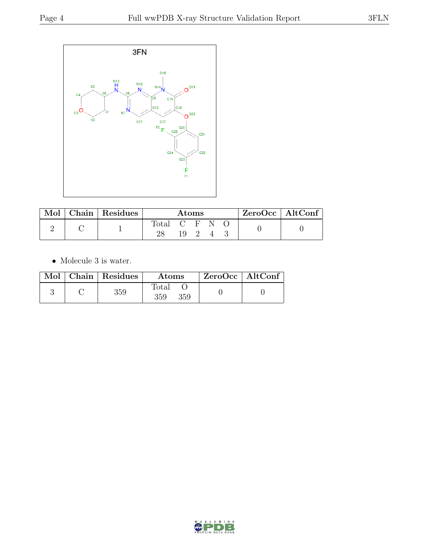

| Mol | $\vert$ Chain $\vert$ Residues | Atoms       |     |  | ZeroOcc   AltConf |  |  |
|-----|--------------------------------|-------------|-----|--|-------------------|--|--|
|     |                                | Total C F N |     |  |                   |  |  |
|     |                                |             | 19. |  |                   |  |  |

 $\bullet\,$  Molecule 3 is water.

|  | $Mol$   Chain   Residues | <b>Atoms</b>        | ZeroOcc   AltConf |  |
|--|--------------------------|---------------------|-------------------|--|
|  | 359                      | Total<br>359<br>359 |                   |  |

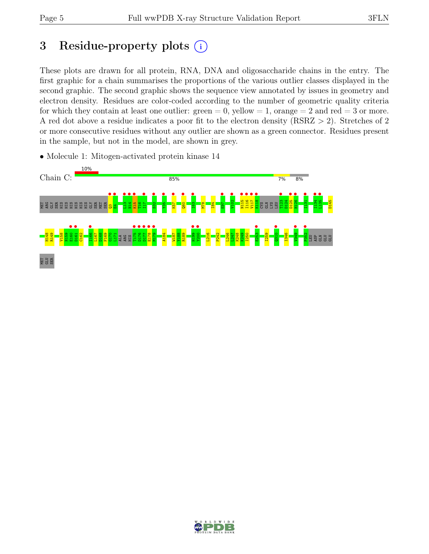# 3 Residue-property plots (i)

These plots are drawn for all protein, RNA, DNA and oligosaccharide chains in the entry. The first graphic for a chain summarises the proportions of the various outlier classes displayed in the second graphic. The second graphic shows the sequence view annotated by issues in geometry and electron density. Residues are color-coded according to the number of geometric quality criteria for which they contain at least one outlier:  $green = 0$ , yellow  $= 1$ , orange  $= 2$  and red  $= 3$  or more. A red dot above a residue indicates a poor fit to the electron density (RSRZ > 2). Stretches of 2 or more consecutive residues without any outlier are shown as a green connector. Residues present in the sample, but not in the model, are shown in grey.



• Molecule 1: Mitogen-activated protein kinase 14

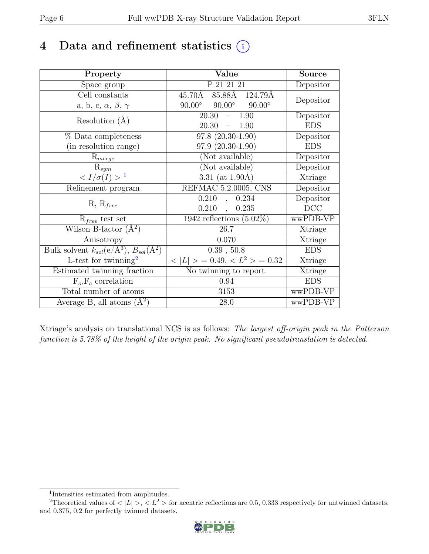# 4 Data and refinement statistics  $(i)$

| Property                                                         | Value                                            | <b>Source</b> |
|------------------------------------------------------------------|--------------------------------------------------|---------------|
| Space group                                                      | P 21 21 21                                       | Depositor     |
| Cell constants                                                   | 85.88Å 124.79Å<br>45.70Å                         | Depositor     |
| a, b, c, $\alpha$ , $\beta$ , $\gamma$                           | $90.00^{\circ}$ $90.00^{\circ}$<br>$90.00^\circ$ |               |
| Resolution $(A)$                                                 | 1.90<br>20.30<br>$\equiv$                        | Depositor     |
|                                                                  | 20.30<br>1.90<br>$\frac{1}{2}$                   | <b>EDS</b>    |
| % Data completeness                                              | $97.8(20.30-1.90)$                               | Depositor     |
| (in resolution range)                                            | $97.9(20.30-1.90)$                               | <b>EDS</b>    |
| $R_{merge}$                                                      | (Not available)                                  | Depositor     |
| $\mathrm{R}_{sym}$                                               | (Not available)                                  | Depositor     |
| $\langle I/\sigma(I) \rangle^{-1}$                               | 3.31 (at $1.90\text{\AA}$ )                      | Xtriage       |
| Refinement program                                               | REFMAC 5.2.0005, CNS                             | Depositor     |
|                                                                  | 0.234<br>0.210<br>$\overline{a}$ ,               | Depositor     |
| $R, R_{free}$                                                    | $0.210$ ,<br>0.235                               | DCC           |
| $R_{free}$ test set                                              | $\overline{1942}$ reflections $(5.02\%)$         | wwPDB-VP      |
| Wilson B-factor $(A^2)$                                          | 26.7                                             | Xtriage       |
| Anisotropy                                                       | 0.070                                            | Xtriage       |
| Bulk solvent $k_{sol}(\text{e}/\text{A}^3), B_{sol}(\text{A}^2)$ | 0.39, 50.8                                       | <b>EDS</b>    |
| L-test for twinning <sup>2</sup>                                 | $< L >$ = 0.49, $< L^2 >$ = 0.32                 | Xtriage       |
| Estimated twinning fraction                                      | $\overline{\text{No}}$ twinning to report.       | Xtriage       |
| $F_o, F_c$ correlation                                           | 0.94                                             | <b>EDS</b>    |
| Total number of atoms                                            | 3153                                             | wwPDB-VP      |
| Average B, all atoms $(A^2)$                                     | 28.0                                             | wwPDB-VP      |

Xtriage's analysis on translational NCS is as follows: The largest off-origin peak in the Patterson function is 5.78% of the height of the origin peak. No significant pseudotranslation is detected.

<sup>&</sup>lt;sup>2</sup>Theoretical values of  $\langle |L| \rangle$ ,  $\langle L^2 \rangle$  for acentric reflections are 0.5, 0.333 respectively for untwinned datasets, and 0.375, 0.2 for perfectly twinned datasets.



<span id="page-5-1"></span><span id="page-5-0"></span><sup>1</sup> Intensities estimated from amplitudes.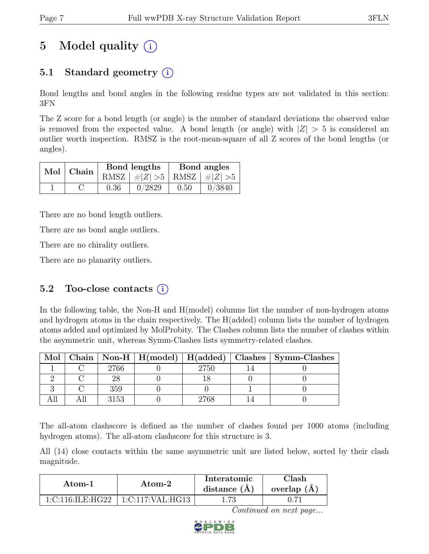# 5 Model quality  $(i)$

## 5.1 Standard geometry  $(i)$

Bond lengths and bond angles in the following residue types are not validated in this section: 3FN

The Z score for a bond length (or angle) is the number of standard deviations the observed value is removed from the expected value. A bond length (or angle) with  $|Z| > 5$  is considered an outlier worth inspection. RMSZ is the root-mean-square of all Z scores of the bond lengths (or angles).

| $Mol$   Chain $\overline{\phantom{a}}$ |      | Bond lengths                    | Bond angles |        |  |
|----------------------------------------|------|---------------------------------|-------------|--------|--|
|                                        |      | RMSZ $ #Z  > 5$ RMSZ $ #Z  > 5$ |             |        |  |
|                                        | 0.36 | 0/2829                          | 0.50        | 0/3840 |  |

There are no bond length outliers.

There are no bond angle outliers.

There are no chirality outliers.

There are no planarity outliers.

### 5.2 Too-close contacts  $(i)$

In the following table, the Non-H and H(model) columns list the number of non-hydrogen atoms and hydrogen atoms in the chain respectively. The H(added) column lists the number of hydrogen atoms added and optimized by MolProbity. The Clashes column lists the number of clashes within the asymmetric unit, whereas Symm-Clashes lists symmetry-related clashes.

| Mol |      |      | Chain   Non-H   H(model)   H(added)   Clashes   Symm-Clashes |
|-----|------|------|--------------------------------------------------------------|
|     | 2766 | 2750 |                                                              |
|     |      |      |                                                              |
|     | 359  |      |                                                              |
|     | 3153 |      |                                                              |

The all-atom clashscore is defined as the number of clashes found per 1000 atoms (including hydrogen atoms). The all-atom clashscore for this structure is 3.

All (14) close contacts within the same asymmetric unit are listed below, sorted by their clash magnitude.

| Atom-1           | Atom-2           | Interatomic<br>distance $(A)$ | Clash-<br>overlap $(A)$ |
|------------------|------------------|-------------------------------|-------------------------|
| 1:C:116:ILE:HG22 | 1:C:117:VAL:HG13 | .73                           |                         |

Continued on next page...

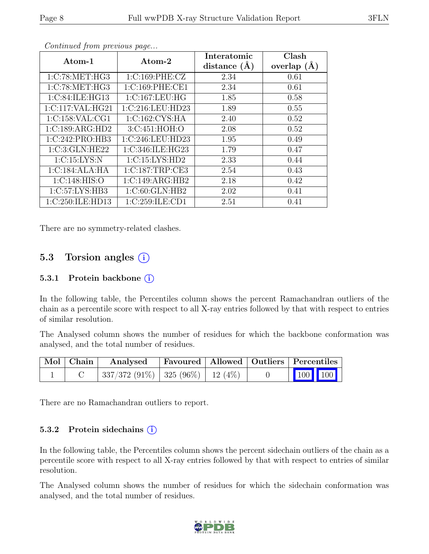| Atom-1           | Atom-2           | Interatomic<br>distance $(A)$ | Clash<br>overlap $(\AA)$ |
|------------------|------------------|-------------------------------|--------------------------|
| 1:C:78:MET:HG3   | 1:C:169:PHE:CZ   | 2.34                          | 0.61                     |
| 1:C:78:MET:HG3   | 1:C:169:PHE:CE1  | 2.34                          | 0.61                     |
| 1:C:84:ILE:HG13  | 1:C:167:LEU:HG   | 1.85                          | 0.58                     |
| 1:C:117:VAL:HG21 | 1:C:216:LEU:HD23 | 1.89                          | 0.55                     |
| 1:C:158:VAL:CG1  | 1:C:162:CYS:HA   | 2.40                          | 0.52                     |
| 1:C:189:ARG:HD2  | 3:C:451:HOH:O    | 2.08                          | 0.52                     |
| 1:C:242:PRO:HB3  | 1:C:246:LEU:HD23 | 1.95                          | 0.49                     |
| 1:C:3:GLN:HE22   | 1:C:346:ILE:HG23 | 1.79                          | 0.47                     |
| 1:C:15:LYS:N     | 1:C:15:LYS:HD2   | 2.33                          | 0.44                     |
| 1:C:184:ALA:HA   | 1:C:187:TRP:CE3  | 2.54                          | 0.43                     |
| 1:C:148:HIS:O    | 1:C:149:ARG:HB2  | 2.18                          | 0.42                     |
| 1:C:57:LYS:HB3   | 1:C:60:GLN:HB2   | 2.02                          | 0.41                     |
| 1:C:250:ILE:HD13 | 1:C:259:ILE:CD1  | 2.51                          | 0.41                     |

Continued from previous page...

There are no symmetry-related clashes.

## 5.3 Torsion angles  $(i)$

#### 5.3.1 Protein backbone (i)

In the following table, the Percentiles column shows the percent Ramachandran outliers of the chain as a percentile score with respect to all X-ray entries followed by that with respect to entries of similar resolution.

The Analysed column shows the number of residues for which the backbone conformation was analysed, and the total number of residues.

| $\mid$ Mol $\mid$ Chain $\mid$ | Analysed                              | Favoured   Allowed   Outliers   Percentiles |  |                                                                                                                                                                                |  |
|--------------------------------|---------------------------------------|---------------------------------------------|--|--------------------------------------------------------------------------------------------------------------------------------------------------------------------------------|--|
|                                | $337/372(91\%)$ 325 (96\%)   12 (4\%) |                                             |  | $\begin{array}{ c c c c c }\n\hline\n\multicolumn{1}{ c }{\hspace{1.2cm}100} & \multicolumn{1}{ c }{\hspace{1.2cm}100} & \multicolumn{1}{ c }{\hspace{1.2cm}100}\n\end{array}$ |  |

There are no Ramachandran outliers to report.

#### 5.3.2 Protein sidechains  $(i)$

In the following table, the Percentiles column shows the percent sidechain outliers of the chain as a percentile score with respect to all X-ray entries followed by that with respect to entries of similar resolution.

The Analysed column shows the number of residues for which the sidechain conformation was analysed, and the total number of residues.

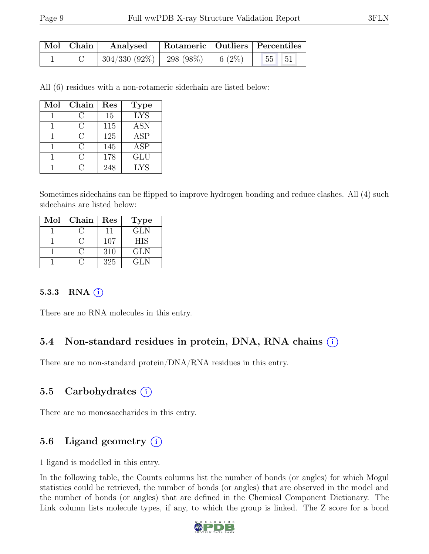| $\vert$ Mol $\vert$ Chain $\vert$ | Analysed                         | Rotameric   Outliers   Percentiles |                               |       |  |
|-----------------------------------|----------------------------------|------------------------------------|-------------------------------|-------|--|
|                                   | $\mid$ 304/330 (92%)   298 (98%) |                                    | $\degree$ 1 6 (2\%) $\degree$ | 55 51 |  |

All (6) residues with a non-rotameric sidechain are listed below:

| Mol | Chain  | Res | <b>Type</b> |
|-----|--------|-----|-------------|
|     | ( )    | 15  | <b>LYS</b>  |
|     | C      | 115 | <b>ASN</b>  |
|     | C      | 125 | <b>ASP</b>  |
|     | C      | 145 | ASP         |
|     | $\cap$ | 178 | <b>GLU</b>  |
|     | Π,     | 248 | <b>LYS</b>  |

Sometimes sidechains can be flipped to improve hydrogen bonding and reduce clashes. All (4) such sidechains are listed below:

| Mol | Chain | Res | <b>Type</b> |
|-----|-------|-----|-------------|
|     |       | 11  | <b>GLN</b>  |
|     |       | 107 | <b>HIS</b>  |
|     |       | 310 | <b>GLN</b>  |
|     |       | 325 | GL N        |

#### 5.3.3 RNA  $(i)$

There are no RNA molecules in this entry.

### 5.4 Non-standard residues in protein, DNA, RNA chains (i)

There are no non-standard protein/DNA/RNA residues in this entry.

### 5.5 Carbohydrates  $(i)$

There are no monosaccharides in this entry.

## 5.6 Ligand geometry  $(i)$

1 ligand is modelled in this entry.

In the following table, the Counts columns list the number of bonds (or angles) for which Mogul statistics could be retrieved, the number of bonds (or angles) that are observed in the model and the number of bonds (or angles) that are defined in the Chemical Component Dictionary. The Link column lists molecule types, if any, to which the group is linked. The Z score for a bond

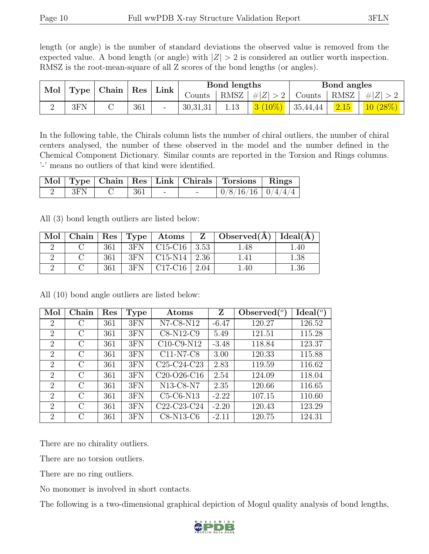length (or angle) is the number of standard deviations the observed value is removed from the expected value. A bond length (or angle) with  $|Z| > 2$  is considered an outlier worth inspection. RMSZ is the root-mean-square of all Z scores of the bond lengths (or angles).

| Mol | Type | Chain | $\operatorname{Res}\nolimits \mid \operatorname{Link}\nolimits$ |                          |            | Bond lengths |           |          | <b>Bond</b> angles    |             |
|-----|------|-------|-----------------------------------------------------------------|--------------------------|------------|--------------|-----------|----------|-----------------------|-------------|
|     |      |       |                                                                 |                          | Counts     | RMSZ         | #Z  > 2   | Counts   | $+$ RMSZ <sub>+</sub> | $\pm$<br> Z |
|     | 3FN  |       | 361                                                             | $\overline{\phantom{a}}$ | 30, 31, 31 | 1.13         | $3(10\%)$ | 35,44,44 | 2.15                  | 10(28%)     |

In the following table, the Chirals column lists the number of chiral outliers, the number of chiral centers analysed, the number of these observed in the model and the number defined in the Chemical Component Dictionary. Similar counts are reported in the Torsion and Rings columns. '-' means no outliers of that kind were identified.

|  |                             |  |        | Mol   Type   Chain   Res   Link   Chirals   Torsions   Rings |  |
|--|-----------------------------|--|--------|--------------------------------------------------------------|--|
|  | $ $ 3FN $ $ C $ $ 361 $ $ - |  | $\sim$ | 0/8/16/16 0/4/4/4                                            |  |

All (3) bond length outliers are listed below:

| Mol |     |     | $\mid$ Chain   Res   Type   Atoms |      | Z $\vert$ Observed( $\AA$ ) $\vert$ Ideal( $\AA$ ) $\vert$ |      |
|-----|-----|-----|-----------------------------------|------|------------------------------------------------------------|------|
|     | 361 | 3FN | $C15-C16$   3.53                  |      | 1.48                                                       | .40  |
|     | 361 | 3FN | $C15-N14$   2.36                  |      | $^{+}.41$                                                  | 1.38 |
|     | 361 | 3FN | $C17-C16$                         | 2.04 | .40                                                        | 1.36 |

Mol Chain Res Type Atoms  $\boxed{Z}$  Observed(<sup>o</sup>) )  $\boxed{\text{Ideal}({}^o)}$ 2 | C | 361 | 3FN | N7-C8-N12 | -6.47 | 120.27 | 126.52 2 | C | 361 | 3FN | C8-N12-C9 | 5.49 | 121.51 | 115.28 2 | C | 361 | 3FN | C10-C9-N12 | -3.48 | 118.84 | 123.37 2 C 361 3FN C11-N7-C8 3.00 120.33 115.88 2 | C | 361 | 3FN | C25-C24-C23 | 2.83 | 119.59 | 116.62 2 | C | 361 | 3FN | C20-O26-C16 | 2.54 | 124.09 | 118.04 2 | C | 361 | 3FN | N13-C8-N7 | 2.35 | 120.66 | 116.65 2 | C | 361 | 3FN | C5-C6-N13 | -2.22 | 107.15 | 110.60 2 | C | 361 | 3FN | C22-C23-C24 | -2.20 | 120.43 | 123.29 2 C 361 3FN C8-N13-C6 -2.11 120.75 124.31

All (10) bond angle outliers are listed below:

There are no chirality outliers.

There are no torsion outliers.

There are no ring outliers.

No monomer is involved in short contacts.

The following is a two-dimensional graphical depiction of Mogul quality analysis of bond lengths,

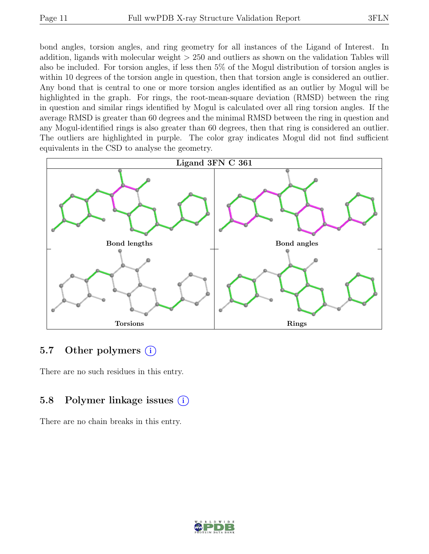bond angles, torsion angles, and ring geometry for all instances of the Ligand of Interest. In addition, ligands with molecular weight > 250 and outliers as shown on the validation Tables will also be included. For torsion angles, if less then 5% of the Mogul distribution of torsion angles is within 10 degrees of the torsion angle in question, then that torsion angle is considered an outlier. Any bond that is central to one or more torsion angles identified as an outlier by Mogul will be highlighted in the graph. For rings, the root-mean-square deviation (RMSD) between the ring in question and similar rings identified by Mogul is calculated over all ring torsion angles. If the average RMSD is greater than 60 degrees and the minimal RMSD between the ring in question and any Mogul-identified rings is also greater than 60 degrees, then that ring is considered an outlier. The outliers are highlighted in purple. The color gray indicates Mogul did not find sufficient equivalents in the CSD to analyse the geometry.



### 5.7 Other polymers  $(i)$

There are no such residues in this entry.

### 5.8 Polymer linkage issues  $(i)$

There are no chain breaks in this entry.

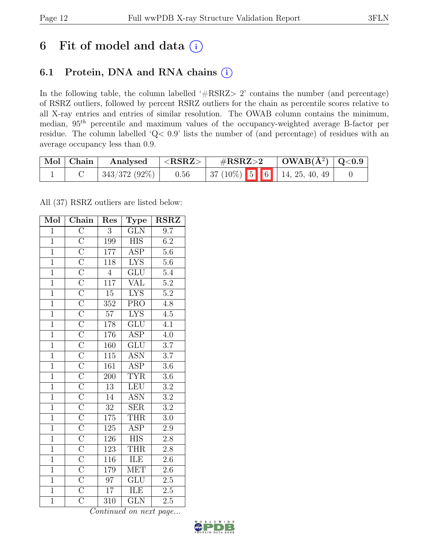# 6 Fit of model and data  $(i)$

## 6.1 Protein, DNA and RNA chains (i)

In the following table, the column labelled ' $\#\text{RSRZ}>2$ ' contains the number (and percentage) of RSRZ outliers, followed by percent RSRZ outliers for the chain as percentile scores relative to all X-ray entries and entries of similar resolution. The OWAB column contains the minimum, median, 95th percentile and maximum values of the occupancy-weighted average B-factor per residue. The column labelled 'Q< 0.9' lists the number of (and percentage) of residues with an average occupancy less than 0.9.

| Mol Chain | Analysed        | $<$ RSRZ $>$ | $\#\text{RSRZ}\text{>2}$                                          | $\vert$ OWAB( $\rm{\AA}^{2}$ ) $\vert$ Q<0.9 |  |
|-----------|-----------------|--------------|-------------------------------------------------------------------|----------------------------------------------|--|
|           | $343/372(92\%)$ | 0.56         | $\mid 37 \ (10\%) \ \mid 5 \ \mid 6 \ \mid 14, 25, 40, 49 \ \mid$ |                                              |  |

All (37) RSRZ outliers are listed below:

| Mol            | $\overline{\text{Chain}}$           | Res              | Type                      | <b>RSRZ</b>      |
|----------------|-------------------------------------|------------------|---------------------------|------------------|
| $\mathbf{1}$   | $\overline{\rm C}$                  | 3                | <b>GLN</b>                | $\overline{9.7}$ |
| $\overline{1}$ | $\overline{C}$                      | 199              | <b>HIS</b>                | $\overline{6.2}$ |
| $\overline{1}$ |                                     | 177              | $\overline{\text{ASP}}$   | 5.6              |
| $\overline{1}$ | $\frac{\overline{C}}{\overline{C}}$ | 118              | <b>LYS</b>                | $\overline{5.6}$ |
| $\overline{1}$ |                                     | $\overline{4}$   | $\overline{\text{GLU}}$   | $\overline{5.4}$ |
| $\overline{1}$ |                                     | $\overline{117}$ | <b>VAL</b>                | $\overline{5.2}$ |
| $\overline{1}$ | $\frac{\overline{C}}{\overline{C}}$ | $\overline{15}$  | $\overline{LYS}$          | $\overline{5.2}$ |
| $\overline{1}$ |                                     | $\overline{352}$ | $\overline{\text{PRO}}$   | $\overline{4.8}$ |
| $\overline{1}$ |                                     | $\overline{57}$  | $\overline{\text{LYS}}$   | $\overline{4.5}$ |
| $\overline{1}$ |                                     | 178              | GLU                       | $\overline{4.1}$ |
| $\mathbf{1}$   |                                     | 176              | <b>ASP</b>                | $\overline{4.0}$ |
| $\overline{1}$ |                                     | 160              | $\overline{\text{GLU}}$   | $\overline{3.7}$ |
| $\overline{1}$ |                                     | $\overline{115}$ | $\overline{\text{ASN}}$   | $\overline{3.7}$ |
| $\overline{1}$ |                                     | 161              | <b>ASP</b>                | $\overline{3.6}$ |
| $\overline{1}$ |                                     | 200              | <b>TYR</b>                | $\overline{3.6}$ |
| $\overline{1}$ |                                     | $\overline{13}$  | <b>LEU</b>                | $\overline{3.2}$ |
| $\overline{1}$ |                                     | $\overline{14}$  | $\overline{\mathrm{ASN}}$ | $\overline{3.2}$ |
| $\overline{1}$ |                                     | $32\,$           | <b>SER</b>                | $\overline{3.2}$ |
| $\overline{1}$ |                                     | 175              | <b>THR</b>                | $\overline{3.0}$ |
| $\overline{1}$ |                                     | 125              | $\overline{\text{ASP}}$   | $2.9\,$          |
| $\overline{1}$ |                                     | 126              | <b>HIS</b>                | $2.8\,$          |
| $\overline{1}$ |                                     | $\overline{123}$ | <b>THR</b>                | $\overline{2.8}$ |
| $\overline{1}$ | ICICICICICICICICICICICICICICICI     | 116              | <b>ILE</b>                | $2.6\,$          |
| $\overline{1}$ |                                     | 179              | $\overline{\text{MET}}$   | $\overline{2.6}$ |
| $\overline{1}$ | $\frac{\overline{C}}{\overline{C}}$ | 97               | $\overline{\text{GLU}}$   | 2.5              |
| $\overline{1}$ |                                     | $\overline{17}$  | ILE                       | $2.5\,$          |
| $\overline{1}$ |                                     | 310              | $\overline{\text{GLN}}$   | $2.5\,$          |

Continued on next page...

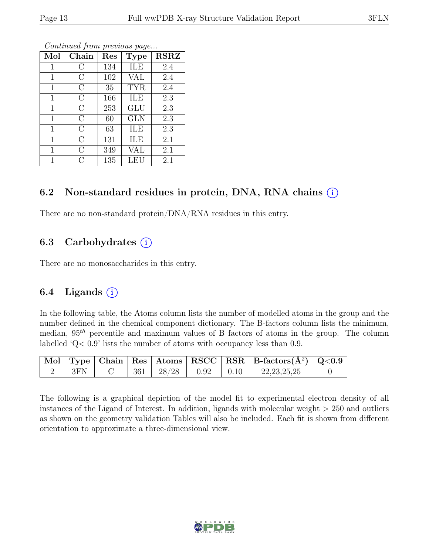| Mol          | Chain          | Res | <b>Type</b> | <b>RSRZ</b> |
|--------------|----------------|-----|-------------|-------------|
| 1            | С              | 134 | ILE         | 2.4         |
| $\mathbf{1}$ | $\rm C$        | 102 | VAL         | 2.4         |
| 1            | $\rm C$        | 35  | <b>TYR</b>  | 2.4         |
| $\mathbf{1}$ | $\rm C$        | 166 | ILE         | 2.3         |
| 1            | $\rm C$        | 253 | <b>GLU</b>  | 2.3         |
| $\mathbf{1}$ | $\rm C$        | 60  | <b>GLN</b>  | 2.3         |
| $\mathbf{1}$ | $\overline{C}$ | 63  | ILE         | 2.3         |
| 1            | C              | 131 | ILE         | 2.1         |
| $\mathbf{1}$ | $\overline{C}$ | 349 | VAL         | 2.1         |
| 1            | ⊖              | 135 | LEU         | 2.1         |

Continued from previous page...

#### 6.2 Non-standard residues in protein, DNA, RNA chains  $(i)$

There are no non-standard protein/DNA/RNA residues in this entry.

#### 6.3 Carbohydrates  $(i)$

There are no monosaccharides in this entry.

#### 6.4 Ligands  $(i)$

In the following table, the Atoms column lists the number of modelled atoms in the group and the number defined in the chemical component dictionary. The B-factors column lists the minimum, median,  $95<sup>th</sup>$  percentile and maximum values of B factors of atoms in the group. The column labelled 'Q< 0.9' lists the number of atoms with occupancy less than 0.9.

|     |     |       |      |      | $\vert$ Mol $\vert$ Type $\vert$ Chain $\vert$ Res $\vert$ Atoms $\vert$ RSCC $\vert$ RSR $\vert$ B-factors(A <sup>2</sup> ) $\vert$ Q<0.9 |  |
|-----|-----|-------|------|------|--------------------------------------------------------------------------------------------------------------------------------------------|--|
| 3FN | 361 | 28/28 | 0.92 | 0.10 | 22, 23, 25, 25                                                                                                                             |  |

The following is a graphical depiction of the model fit to experimental electron density of all instances of the Ligand of Interest. In addition, ligands with molecular weight > 250 and outliers as shown on the geometry validation Tables will also be included. Each fit is shown from different orientation to approximate a three-dimensional view.